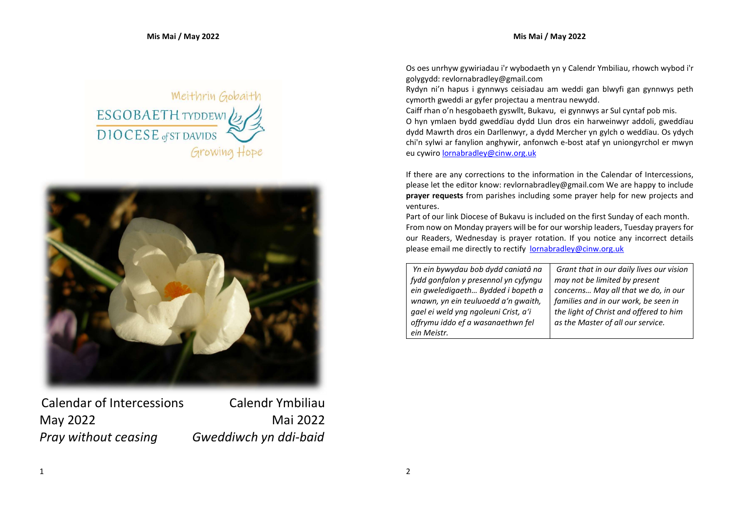## Meithrin Gobaith ESGOBAETH TYDDEWID **DIOCESE** of ST DAVIDS Growing Hope



Calendar of Intercessions Calendr Ymbiliau May 2022 Mai 2022 Pray without ceasing Gweddiwch yn ddi-baid

Os oes unrhyw gywiriadau i'r wybodaeth yn y Calendr Ymbiliau, rhowch wybod i'r golygydd: revlornabradley@gmail.com

Rydyn ni'n hapus i gynnwys ceisiadau am weddi gan blwyfi gan gynnwys peth cymorth gweddi ar gyfer projectau a mentrau newydd.

Caiff rhan o'n hesgobaeth gyswllt, Bukavu, ei gynnwys ar Sul cyntaf pob mis. O hyn ymlaen bydd gweddïau dydd Llun dros ein harweinwyr addoli, gweddïau dydd Mawrth dros ein Darllenwyr, a dydd Mercher yn gylch o weddïau. Os ydych chi'n sylwi ar fanylion anghywir, anfonwch e-bost ataf yn uniongyrchol er mwyn eu cywiro lornabradley@cinw.org.uk

If there are any corrections to the information in the Calendar of Intercessions, please let the editor know: revlornabradley@gmail.com We are happy to include prayer requests from parishes including some prayer help for new projects and ventures.

Part of our link Diocese of Bukavu is included on the first Sunday of each month. From now on Monday prayers will be for our worship leaders, Tuesday prayers for our Readers, Wednesday is prayer rotation. If you notice any incorrect details please email me directly to rectify lornabradley@cinw.org.uk

 Yn ein bywydau bob dydd caniatâ na fydd gonfalon y presennol yn cyfyngu ein gweledigaeth… Bydded i bopeth a wnawn, yn ein teuluoedd a'n gwaith, gael ei weld yng ngoleuni Crist, a'i offrymu iddo ef a wasanaethwn fel ein Meistr.

Grant that in our daily lives our vision may not be limited by present concerns… May all that we do, in our families and in our work, be seen in the light of Christ and offered to him as the Master of all our service.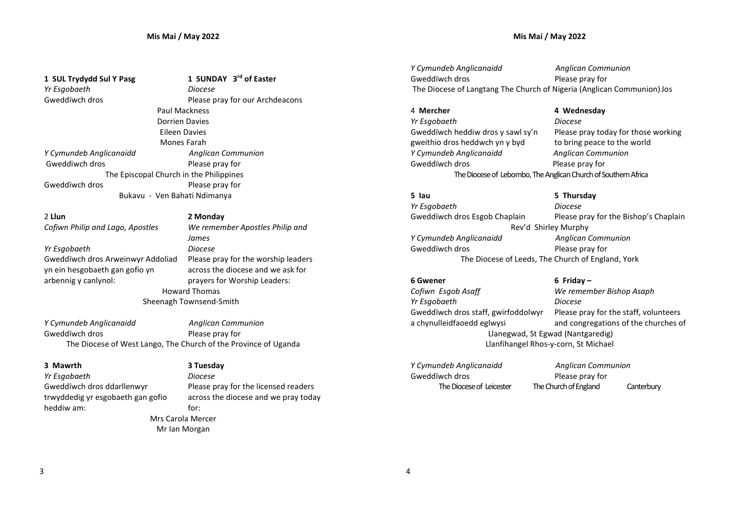### Mis Mai / May 2022

Yr Esgobaeth Diocese

1 SUL Trydydd Sul Y Pasg 1 SUNDAY 3rd of Easter Gweddïwch dros **Please pray for our Archdeacons** Paul Mackness Dorrien Davies Eileen Davies Mones Farah Y Cymundeb Anglicanaidd Anglican Communion Gweddïwch dros **Please pray for**  The Episcopal Church in the Philippines Gweddïwch dros **Please pray for** Bukavu - Ven Bahati Ndimanya

2 Llun 2 Monday

Yr Esgobaeth Diocese Gweddïwch dros Arweinwyr Addoliad yn ein hesgobaeth gan gofio yn arbennig y canlynol:

Cofiwn Philip and Lago, Apostles We remember Apostles Philip and James Please pray for the worship leaders across the diocese and we ask for prayers for Worship Leaders: Howard Thomas Sheenagh Townsend-Smith

Y Cymundeb Anglicanaidd Anglican Communion Gweddïwch dros **Please pray for** The Diocese of West Lango, The Church of the Province of Uganda

### 3 Mawrth

Yr Esgobaeth Diocese Gweddïwch dros ddarllenwyr trwyddedig yr esgobaeth gan gofio heddiw am:

### 3 Tuesday

Please pray for the licensed readers across the diocese and we pray today for: Mrs Carola Mercer Mr Ian Morgan

Y Cymundeb Anglicanaidd **Anglican Communion** Gweddïwch dros **Please pray for** The Diocese of Langtang The Church of Nigeria (Anglican Communion) Jos

## 4 Mercher 2012 12:30 4 Wednesday

### Yr Esgobaeth Diocese Gweddïwch heddiw dros y sawl sy'n gweithio dros heddwch yn y byd Please pray today for those working to bring peace to the world Y Cymundeb Anglicanaidd Anglican Communion Gweddïwch dros **Please pray for** The Diocese of Lebombo, The Anglican Church of Southern Africa

5 Iau 5 Thursday Yr Esgobaeth Diocese Gweddïwch dros Esgob Chaplain Please pray for the Bishop's Chaplain Rev'd Shirley Murphy Y Cymundeb Anglicanaidd Anglican Communion Gweddïwch dros **Please pray for** The Diocese of Leeds, The Church of England, York

### 6 Gwener 6 Friday –

### Cofiwn Esgob Asaff We remember Bishop Asaph Yr Esgobaeth Diocese Gweddïwch dros staff, gwirfoddolwyr a chynulleidfaoedd eglwysi Llanegwad, St Egwad (Nantgaredig) Llanfihangel Rhos-y-corn, St Michael

Y Cymundeb Anglicanaidd **Anglican Communion** Gweddïwch dros **Please pray for** 

The Diocese of Leicester The Church of England Canterbury

Please pray for the staff, volunteers and congregations of the churches of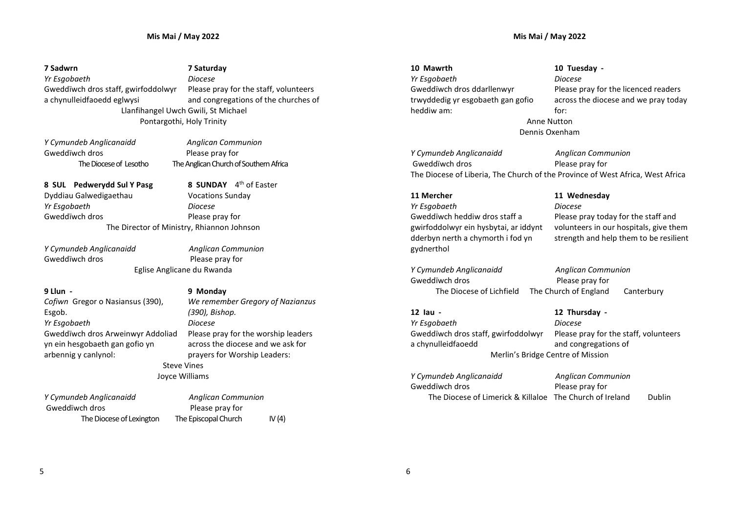7 Sadwrn 7 Saturday Yr Esgobaeth Diocese Gweddïwch dros staff, gwirfoddolwyr a chynulleidfaoedd eglwysi Please pray for the staff, volunteers and congregations of the churches of Llanfihangel Uwch Gwili, St Michael Pontargothi, Holy Trinity

Gweddïwch dros **Please pray for** 

Y Cymundeb Anglicanaidd Anglican Communion The Diocese of Lesotho The Anglican Church of Southern Africa

8 SUNDAY 4<sup>th</sup> of Easter

Vocations Sunday

8 SUL Pedwerydd Sul Y Pasg Dyddiau Galwedigaethau Yr Esgobaeth Diocese Gweddïwch dros **Please pray for** The Director of Ministry, Rhiannon Johnson

Gweddïwch dros **Please pray for** 

Y Cymundeb Anglicanaidd Anglican Communion Eglise Anglicane du Rwanda

### 9 Llun - 9 Monday Cofiwn Gregor o Nasiansus (390), Esgob. Yr Esgobaeth Diocese Gweddïwch dros Arweinwyr Addoliad yn ein hesgobaeth gan gofio yn arbennig y canlynol:

We remember Gregory of Nazianzus (390), Bishop. Please pray for the worship leaders across the diocese and we ask for prayers for Worship Leaders: Steve Vines Joyce Williams

| Y Cymundeb Anglicanaidd  | <b>Anglican Communion</b> |          |
|--------------------------|---------------------------|----------|
| Gweddïwch dros           | Please pray for           |          |
| The Diocese of Lexington | The Episcopal Church      | IV $(4)$ |

10 Mawrth 10 Tuesday - Yr Esgobaeth Diocese Gweddïwch dros ddarllenwyr trwyddedig yr esgobaeth gan gofio heddiw am:

Please pray for the licenced readers across the diocese and we pray today for: Anne Nutton Dennis Oxenham

Y Cymundeb Anglicanaidd **Anglican Communion** Gweddïwch dros **Please pray for** The Diocese of Liberia, The Church of the Province of West Africa, West Africa

### 11 Mercher 11 Wednesday Yr Esgobaeth Diocese Gweddïwch heddiw dros staff a gwirfoddolwyr ein hysbytai, ar iddynt dderbyn nerth a chymorth i fod yn gydnerthol

Y Cymundeb Anglicanaidd **Anglican Communion** Gweddïwch dros **Please pray for** 

Please pray today for the staff and volunteers in our hospitals, give them strength and help them to be resilient

The Diocese of Lichfield The Church of England Canterbury

12 Iau - 12 Thursday - Yr Esgobaeth Diocese Gweddïwch dros staff, gwirfoddolwyr a chynulleidfaoedd

Please pray for the staff, volunteers and congregations of Merlin's Bridge Centre of Mission

Y Cymundeb Anglicanaidd **Anglican Communion** Gweddïwch dros **Please pray for** The Diocese of Limerick & Killaloe The Church of Ireland Dublin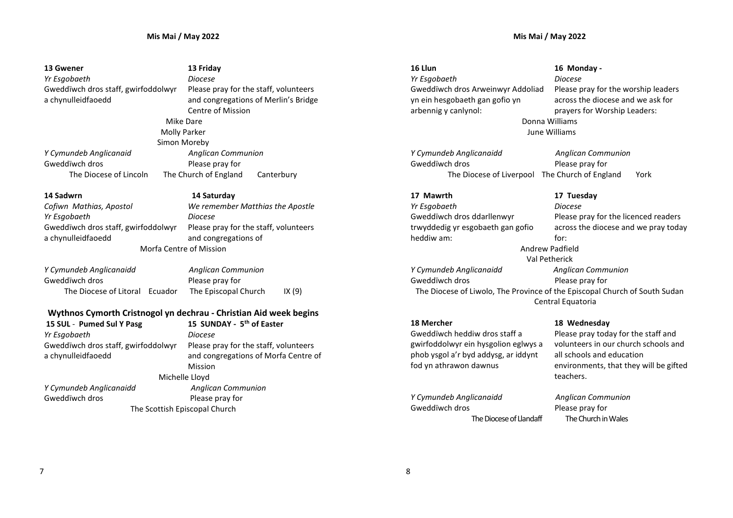| 13 Gwener                           | 13 Friday                                                         | 16 Llun                              | 16 Monday -                                                                |
|-------------------------------------|-------------------------------------------------------------------|--------------------------------------|----------------------------------------------------------------------------|
| Yr Esgobaeth                        | <b>Diocese</b>                                                    | Yr Esgobaeth                         | <b>Diocese</b>                                                             |
| Gweddïwch dros staff, gwirfoddolwyr | Please pray for the staff, volunteers                             | Gweddïwch dros Arweinwyr Addoliad    | Please pray for the worship leaders                                        |
| a chynulleidfaoedd                  | and congregations of Merlin's Bridge                              | yn ein hesgobaeth gan gofio yn       | across the diocese and we ask for                                          |
|                                     | Centre of Mission                                                 | arbennig y canlynol:                 | prayers for Worship Leaders:                                               |
|                                     | Mike Dare                                                         |                                      | Donna Williams                                                             |
| <b>Molly Parker</b>                 |                                                                   | June Williams                        |                                                                            |
|                                     | Simon Moreby                                                      |                                      |                                                                            |
| Y Cymundeb Anglicanaid              | <b>Anglican Communion</b>                                         | Y Cymundeb Anglicanaidd              | <b>Anglican Communion</b>                                                  |
| Gweddïwch dros                      | Please pray for                                                   | Gweddïwch dros                       | Please pray for                                                            |
| The Diocese of Lincoln              | The Church of England<br>Canterbury                               | The Diocese of Liverpool             | The Church of England<br>York                                              |
| 14 Sadwrn                           | 14 Saturday                                                       | 17 Mawrth                            | 17 Tuesday                                                                 |
| Cofiwn Mathias, Apostol             | We remember Matthias the Apostle                                  | Yr Esgobaeth                         | <b>Diocese</b>                                                             |
| Yr Esgobaeth                        | Diocese                                                           | Gweddïwch dros ddarllenwyr           | Please pray for the licenced readers                                       |
| Gweddïwch dros staff, gwirfoddolwyr | Please pray for the staff, volunteers                             | trwyddedig yr esgobaeth gan gofio    | across the diocese and we pray today                                       |
| a chynulleidfaoedd                  | and congregations of                                              | heddiw am:                           | for:                                                                       |
| <b>Morfa Centre of Mission</b>      |                                                                   | <b>Andrew Padfield</b>               |                                                                            |
|                                     |                                                                   |                                      | Val Petherick                                                              |
| Y Cymundeb Anglicanaidd             | <b>Anglican Communion</b>                                         | Y Cymundeb Anglicanaidd              | <b>Anglican Communion</b>                                                  |
| Gweddïwch dros                      | Please pray for                                                   | Gweddïwch dros                       | Please pray for                                                            |
| The Diocese of Litoral<br>Ecuador   | The Episcopal Church<br>IX (9)                                    |                                      | The Diocese of Liwolo, The Province of the Episcopal Church of South Sudan |
|                                     |                                                                   | Central Equatoria                    |                                                                            |
|                                     | Wythnos Cymorth Cristnogol yn dechrau - Christian Aid week begins |                                      |                                                                            |
| 15 SUL - Pumed Sul Y Pasg           | 15 SUNDAY - 5 <sup>th</sup> of Easter                             | 18 Mercher                           | 18 Wednesday                                                               |
| Yr Esgobaeth                        | Diocese                                                           | Gweddïwch heddiw dros staff a        | Please pray today for the staff and                                        |
| Gweddïwch dros staff. gwirfoddolwyr | Please pray for the staff, volunteers                             | gwirfoddolwyr ein hysgolion eglwys a | volunteers in our church schools and                                       |

Gweddïwch dros staff, gwirfoddolwyr a chynulleidfaoedd

Please pray for the staff, volunteers and congregations of Morfa Centre of Mission Michelle Lloyd Y Cymundeb Anglicanaidd **Anglican Communion** Gweddïwch dros extending the Please pray for The Scottish Episcopal Church

fod yn athrawon dawnus Y Cymundeb Anglicanaidd Anglican Communion

phob ysgol a'r byd addysg, ar iddynt

Gweddïwch dros **Please pray for** The Diocese of Llandaff The Church in Wales

volunteers in our church schools and all schools and education environments, that they will be gifted teachers.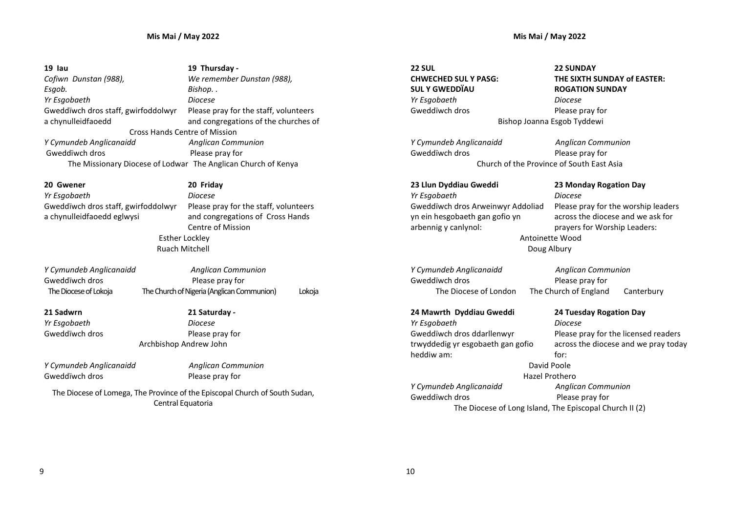| 19 Iau                               | 19 Thursday -                                                 |
|--------------------------------------|---------------------------------------------------------------|
| Cofiwn Dunstan (988),                | We remember Dunstan (988),                                    |
| Esgob.                               | Bishop. .                                                     |
| Yr Esgobaeth                         | Diocese                                                       |
| Gweddïwch dros staff, gwirfoddolwyr  | Please pray for the staff, volunteers                         |
| a chynulleidfaoedd                   | and congregations of the churches of                          |
| <b>Cross Hands Centre of Mission</b> |                                                               |
| Y Cymundeb Anglicanaidd              | <b>Anglican Communion</b>                                     |
| Gweddïwch dros                       | Please pray for                                               |
|                                      | The Missionary Diocese of Lodwar The Anglican Church of Kenya |

Yr Esgobaeth Diocese Gweddïwch dros staff, gwirfoddolwyr a chynulleidfaoedd eglwysi

20 Gwener 20 Friday Please pray for the staff, volunteers and congregations of Cross Hands Centre of Mission Esther Lockley Ruach Mitchell

| Y Cymundeb Anglicanaidd | <b>Anglican Communion</b>                  |        |
|-------------------------|--------------------------------------------|--------|
| Gweddïwch dros          | Please pray for                            |        |
| The Diocese of Lokoja   | The Church of Nigeria (Anglican Communion) | Lokoja |

21 Sadwrn 21 Saturday - Yr Esgobaeth Diocese Gweddïwch dros **Please pray for** Archbishop Andrew John

Y Cymundeb Anglicanaidd Anglican Communion Gweddïwch dros **Please pray for** 

The Diocese of Lomega, The Province of the Episcopal Church of South Sudan, Central Equatoria

Doug Albury

THE SIXTH SUNDAY of EASTER: ROGATION SUNDAY Yr Esgobaeth Diocese Gweddïwch dros **Please pray for** Bishop Joanna Esgob Tyddewi

22 SUNDAY

Y Cymundeb Anglicanaidd **Anglican Communion** Gweddïwch dros **Please pray for** 

22 SUL

CHWECHED SUL Y PASG: SUL Y GWEDDÏAU

Church of the Province of South East Asia 23 Llun Dyddiau Gweddi 23 Monday Rogation Day Yr Esgobaeth Diocese

Gweddïwch dros Arweinwyr Addoliad yn ein hesgobaeth gan gofio yn arbennig y canlynol: Please pray for the worship leaders across the diocese and we ask for prayers for Worship Leaders: Antoinette Wood

Y Cymundeb Anglicanaidd **Anglican Communion** Gweddïwch dros **Please pray for** 

The Diocese of London The Church of England Canterbury

24 Mawrth Dyddiau Gweddi 24 Tuesday Rogation Day Yr Esgobaeth Diocese Gweddïwch dros ddarllenwyr trwyddedig yr esgobaeth gan gofio heddiw am:

Please pray for the licensed readers across the diocese and we pray today for: David Poole Hazel Prothero

Y Cymundeb Anglicanaidd **Anglican Communion** Gweddïwch dros **Please pray for** 

The Diocese of Long Island, The Episcopal Church II (2)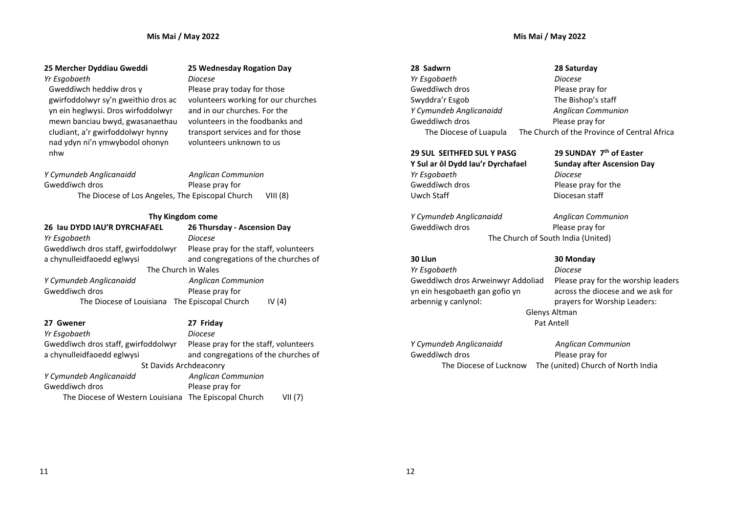### Mis Mai / May 2022

### Mis Mai / May 2022

### Yr Esgobaeth Diocese

Gweddïwch heddiw dros y gwirfoddolwyr sy'n gweithio dros ac yn ein heglwysi. Dros wirfoddolwyr mewn banciau bwyd, gwasanaethau cludiant, a'r gwirfoddolwyr hynny nad ydyn ni'n ymwybodol ohonyn nhw

## 25 Mercher Dyddiau Gweddi 25 Wednesday Rogation Day

Please pray today for those volunteers working for our churches and in our churches. For the volunteers in the foodbanks and transport services and for those volunteers unknown to us

Y Cymundeb Anglicanaidd Anglican Communion Gweddïwch dros **Please pray for** The Diocese of Los Angeles, The Episcopal Church VIII (8)

### Thy Kingdom come

| 26 Iau DYDD IAU'R DYRCHAFAEL                  | 26 Thursday - Ascension Day           |
|-----------------------------------------------|---------------------------------------|
| Yr Esgobaeth                                  | Diocese                               |
| Gweddïwch dros staff, gwirfoddolwyr           | Please pray for the staff, volunteers |
| a chynulleidfaoedd eglwysi                    | and congregations of the churches of  |
| The Church in Wales                           |                                       |
| Y Cymundeb Anglicanaidd                       | <b>Anglican Communion</b>             |
| Gweddïwch dros                                | Please pray for                       |
| The Diocese of Louisiana The Episcopal Church | IV $(4)$                              |

| 27 Friday                                                        |  |  |
|------------------------------------------------------------------|--|--|
| <b>Diocese</b>                                                   |  |  |
| Please pray for the staff, volunteers                            |  |  |
| and congregations of the churches of                             |  |  |
| St Davids Archdeaconry                                           |  |  |
| <b>Anglican Communion</b>                                        |  |  |
| Please pray for                                                  |  |  |
| The Diocese of Western Louisiana The Episcopal Church<br>VII (7) |  |  |
|                                                                  |  |  |

28 Sadwrn 28 Saturday Yr Esgobaeth Diocese Gweddïwch dros **Please pray for** Swyddra'r Esgob The Bishop's staff Y Cymundeb Anglicanaidd Anglican Communion Gweddïwch dros **Please pray for** 

### 29 SUL SEITHFED SUL Y PASG

Y Sul ar ôl Dydd Iau'r Dyrchafael Yr Esgobaeth Diocese Gweddïwch dros **Please pray for the** Uwch Staff Diocesan staff

Y Cymundeb Anglicanaidd Anglican Communion Gweddïwch dros **Please pray for** 

Yr Esgobaeth Diocese Gweddïwch dros Arweinwyr Addoliad yn ein hesgobaeth gan gofio yn arbennig y canlynol:

# Gweddïwch dros **Please pray for**

The Diocese of Luapula The Church of the Province of Central Africa

29 SUNDAY 7th of Easter Sunday after Ascension Day

The Church of South India (United)

### 30 Llun 30 Monday

Please pray for the worship leaders across the diocese and we ask for prayers for Worship Leaders: Glenys Altman Pat Antell

Y Cymundeb Anglicanaidd **Anglican Communion** The Diocese of Lucknow The (united) Church of North India

11